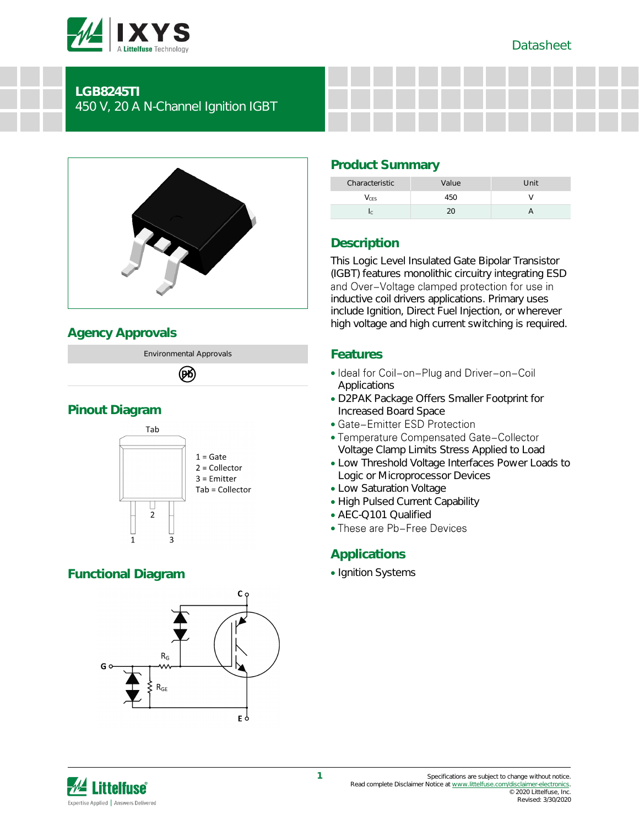

#### **LGB8245TI**

450 V, 20 A N-Channel Ignition IGBT



## **Agency Approvals**

Environmental Approvals 网

# **Pinout Diagram**



## **Functional Diagram**



## **Product Summary**

| Characteristic | Value | Unit |
|----------------|-------|------|
| lers           | h     |      |
|                |       |      |

## **Description**

This Logic Level Insulated Gate Bipolar Transistor (IGBT) features monolithic circuitry integrating ESD<br>and Over-Voltage clamped protection for use in inductive coil drivers applications. Primary uses include Ignition, Direct Fuel Injection, or wherever high voltage and high current switching is required.

#### **Features**

- Ideal for Coil-on-Plug and Driver-on-Coil Applications
- D2PAK Package Offers Smaller Footprint for Increased Board Space
- Gate-Emitter ESD Protection
- Temperature Compensated Gate-Collector Voltage Clamp Limits Stress Applied to Load
- Low Threshold Voltage Interfaces Power Loads to Logic or Microprocessor Devices
- Low Saturation Voltage
- High Pulsed Current Capability
- AEC-Q101 Qualified
- These are Pb-Free Devices

#### **Applications**

• Ignition Systems

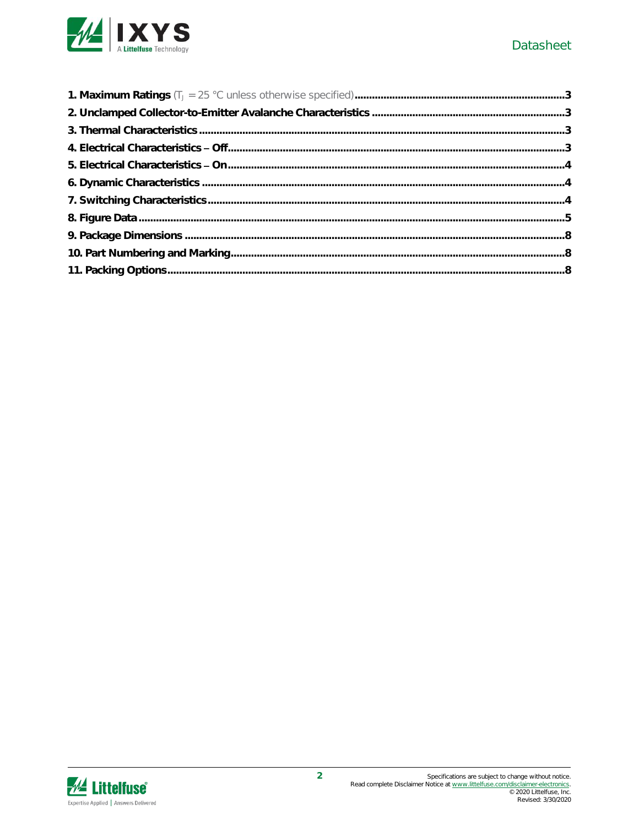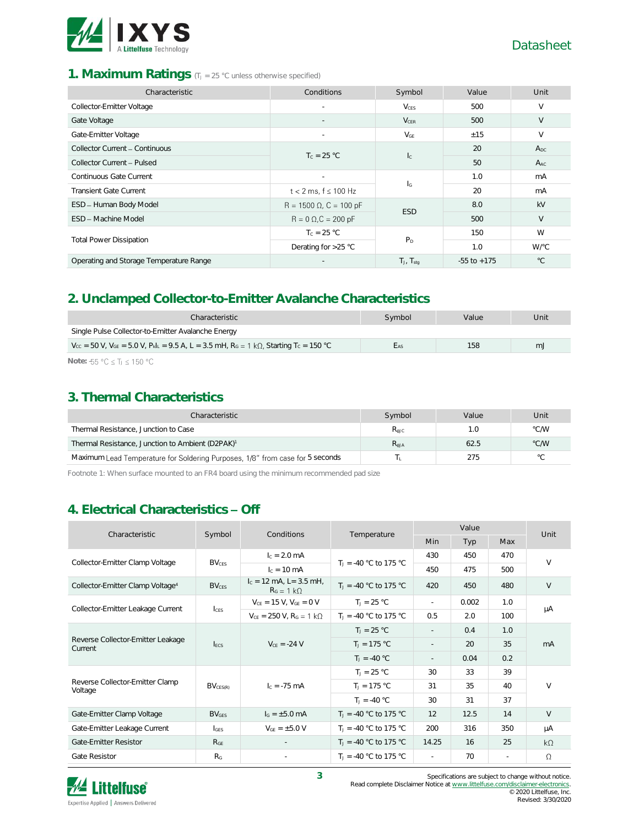

#### 1. **Maximum Ratings** (T<sub>J</sub> = 25 °C unless otherwise specified)

| Characteristic                          | Conditions                     | Symbol                    | Value           | Unit         |
|-----------------------------------------|--------------------------------|---------------------------|-----------------|--------------|
| Collector-Emitter Voltage               | $\overline{\phantom{a}}$       | $V_{CES}$                 | 500             | V            |
| Gate Voltage                            |                                | <b>V<sub>CER</sub></b>    | 500             | $\vee$       |
| Gate-Emitter Voltage                    |                                | $V_{GE}$                  | ±15             | $\vee$       |
| Collector Current - Continuous          | $T_c = 25 °C$                  | $\mathsf{I}_{\mathsf{C}}$ | 20              | $A_{DC}$     |
| Collector Current - Pulsed              |                                |                           | 50              | $A_{AC}$     |
| Continuous Gate Current                 | $\overline{\phantom{a}}$       |                           | 1.0             | mA           |
| <b>Transient Gate Current</b>           | $t < 2$ ms, $f \le 100$ Hz     | ΙG                        | 20              | mA           |
| ESD - Human Body Model                  | $R = 1500 \Omega$ , C = 100 pF | <b>ESD</b>                | 8.0             | kV           |
| <b>FSD - Machine Model</b>              | $R = 0 \Omega$ , $C = 200 pF$  |                           | 500             | $\vee$       |
| <b>Total Power Dissipation</b>          | $T_c = 25 °C$                  |                           |                 | W            |
|                                         | Derating for $>25$ °C          | P <sub>D</sub>            | 1.0             | W/°C         |
| Operating and Storage Temperature Range | $\overline{\phantom{a}}$       | $T_J$ , $T_{stq}$         | $-55$ to $+175$ | $^{\circ}$ C |

#### **2. Unclamped Collector-to-Emitter Avalanche Characteristics**

| Characteristic                                                                                                                                             | Symbol     | Value | Unit |
|------------------------------------------------------------------------------------------------------------------------------------------------------------|------------|-------|------|
| Single Pulse Collector-to-Emitter Avalanche Energy                                                                                                         |            |       |      |
| $V_{\text{CC}}$ = 50 V, V <sub>GE</sub> = 5.0 V, P <sub>kl</sub> <sub>E</sub> = 9.5 A, L = 3.5 mH, R <sub>G</sub> = 1 kΩ, Starting T <sub>C</sub> = 150 °C | <b>LAS</b> | 158   | mJ   |
| $\mathbf{N}$                                                                                                                                               |            |       |      |

Note: -55 °C ≤ T<sub>J</sub> ≤ 150 °C

#### **3. Thermal Characteristics**

| Characteristic                                                                | Symbol             | Value | Unit           |
|-------------------------------------------------------------------------------|--------------------|-------|----------------|
| Thermal Resistance, Junction to Case                                          | $R_{\text{AJC}}$   | 1.O   | °C/W           |
| Thermal Resistance, Junction to Ambient (D2PAK) <sup>1</sup>                  | $R_{\mathsf{AJA}}$ | 62.5  | $\degree$ C/W  |
| Maximum Lead Temperature for Soldering Purposes, 1/8" from case for 5 seconds |                    | 275   | $\circ$ $\cap$ |

Footnote 1: When surface mounted to an FR4 board using the minimum recommended pad size

## **4. Electrical Characteristics Off**

| Characteristic                               | Symbol                  | Conditions                                      | Temperature                       | Value                    |       |        | Unit      |
|----------------------------------------------|-------------------------|-------------------------------------------------|-----------------------------------|--------------------------|-------|--------|-----------|
|                                              |                         |                                                 |                                   | Min                      | Typ   | Max    |           |
| Collector-Emitter Clamp Voltage              | <b>BV<sub>CES</sub></b> | $I_c = 2.0$ mA                                  | $T_1 = -40$ °C to 175 °C          | 430                      | 450   | 470    | $\vee$    |
|                                              |                         | $c = 10 \text{ mA}$                             |                                   | 450                      | 475   | 500    |           |
| Collector-Emitter Clamp Voltage <sup>4</sup> | <b>BV<sub>CES</sub></b> | $I_c = 12$ mA, L= 3.5 mH,<br>$R_G = 1 k\Omega$  | $T_1 = -40$ °C to 175 °C          | 420                      | 450   | 480    | $\vee$    |
|                                              |                         | $V_{CE} = 15 V$ , $V_{GE} = 0 V$                | $T_1 = 25 °C$                     | $\sim$                   | 0.002 | 1.0    | μA        |
| Collector-Emitter Leakage Current            | $l_{\text{CES}}$        | $V_{CE}$ = 250 V, R <sub>G</sub> = 1 k $\Omega$ | $T_1 = -40$ °C to 175 °C          | 0.5                      | 2.0   | 100    |           |
| Reverse Collector-Emitter Leakage<br>Current | <b>IFCS</b>             | $V_{CE} = -24 V$                                | $T_J = 25 °C$                     | $\sim$                   | 0.4   | 1.0    | mA        |
|                                              |                         |                                                 | $T_J = 175 °C$                    | $\overline{\phantom{a}}$ | 20    | 35     |           |
|                                              |                         |                                                 | $T_1 = -40 °C$                    | $\overline{\phantom{a}}$ | 0.04  | 0.2    |           |
|                                              |                         | $I_c = -75$ mA                                  | $T_1 = 25 °C$                     | 30                       | 33    | 39     |           |
| Reverse Collector-Emitter Clamp<br>Voltage   | $BV_{CES(R)}$           |                                                 | $T_1 = 175 °C$                    | 31                       | 35    | 40     | $\vee$    |
|                                              |                         |                                                 | $T_1 = -40 °C$                    | 30                       | 31    | 37     |           |
| Gate-Emitter Clamp Voltage                   | <b>BV<sub>GES</sub></b> | $I_G = \pm 5.0$ mA                              | $T_1 = -40$ °C to 175 °C          | 12                       | 12.5  | 14     | V         |
| Gate-Emitter Leakage Current                 | $I_{GES}$               | $V_{GE} = \pm 5.0 V$                            | $T_{\text{J}} = -40$ °C to 175 °C | 200                      | 316   | 350    | μA        |
| <b>Gate-Emitter Resistor</b>                 | R <sub>GE</sub>         |                                                 | $T_1 = -40$ °C to 175 °C          | 14.25                    | 16    | 25     | $k\Omega$ |
| <b>Gate Resistor</b>                         | R <sub>G</sub>          | $\sim$                                          | $T_1 = -40$ °C to 175 °C          | $\sim$                   | 70    | $\sim$ | $\Omega$  |



**3** Specifications are subject to change without notice. Read complete Disclaimer Notice a[t www.littelfuse.com/disclaimer-electronics.](http://www.littelfuse.com/disclaimer-electronics)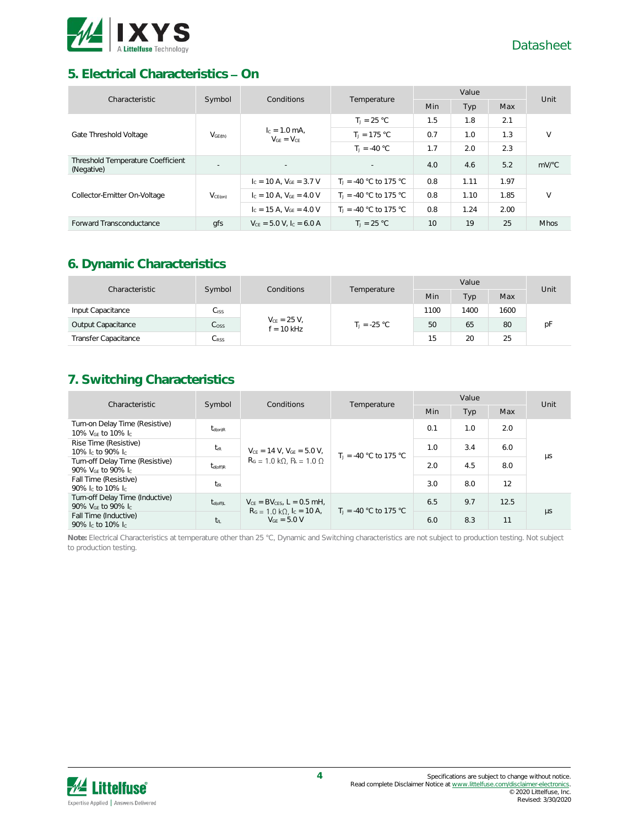

#### **5. Electrical Characteristics - On**

| Characteristic                                  | Symbol              | <b>Conditions</b>                  | Temperature              | Value |      |      | Unit                                 |
|-------------------------------------------------|---------------------|------------------------------------|--------------------------|-------|------|------|--------------------------------------|
|                                                 |                     |                                    |                          | Min   | Typ  | Max  |                                      |
|                                                 |                     |                                    | $T_1 = 25 °C$            | 1.5   | 1.8  | 2.1  |                                      |
| Gate Threshold Voltage                          | V <sub>GE(th)</sub> | $c = 1.0$ mA.<br>$V_{GF} = V_{CF}$ | $T_1 = 175 °C$           | 0.7   | 1.0  | 1.3  | $\vee$                               |
|                                                 |                     | $T_1 = -40 °C$                     | 1.7                      | 2.0   | 2.3  |      |                                      |
| Threshold Temperature Coefficient<br>(Negative) | $\sim$              | $\sim$                             | $\sim$                   | 4.0   | 4.6  | 5.2  | $mV$ <sup><math>\circ</math></sup> C |
|                                                 |                     | $I_c = 10$ A, $V_{GF} = 3.7$ V     | $T_1 = -40$ °C to 175 °C | 0.8   | 1.11 | 1.97 |                                      |
| Collector-Emitter On-Voltage                    | V <sub>CE(on)</sub> | $I_c = 10$ A, $V_{GF} = 4.0$ V     | $T_1 = -40$ °C to 175 °C | 0.8   | 1.10 | 1.85 | $\vee$                               |
|                                                 |                     | $I_c = 15$ A, $V_{GE} = 4.0$ V     | $T_1 = -40$ °C to 175 °C | 0.8   | 1.24 | 2.00 |                                      |
| Forward Transconductance                        | qfs                 | $V_{CF} = 5.0 V.$ Ic = 6.0 A       | $T_1 = 25 °C$            | 10    | 19   | 25   | <b>Mhos</b>                          |

## **6. Dynamic Characteristics**

| Characteristic              | Symbol<br><b>Conditions</b> | Temperature                      | Value          |      |      | Unit |    |
|-----------------------------|-----------------------------|----------------------------------|----------------|------|------|------|----|
|                             |                             |                                  | Min            | Typ  | Max  |      |    |
| Input Capacitance           | $C_{\rm ISS}$               | $V_{CE} = 25 V,$<br>$f = 10$ kHz |                | 1100 | 1400 | 1600 |    |
| Output Capacitance          | $C_{\rm OSS}$               |                                  | $T_1 = -25 °C$ | 50   | 65   | 80   | рF |
| <b>Transfer Capacitance</b> | C <sub>RSS</sub>            |                                  |                | 15   | 20   | 25   |    |

### **7. Switching Characteristics**

| Characteristic                                                              |                       | Conditions                                                                                                             |                          | Value |                          |      | Unit |     |    |     |     |
|-----------------------------------------------------------------------------|-----------------------|------------------------------------------------------------------------------------------------------------------------|--------------------------|-------|--------------------------|------|------|-----|----|-----|-----|
|                                                                             | Symbol<br>Temperature |                                                                                                                        |                          | Min   | Typ                      | Max  |      |     |    |     |     |
| Turn-on Delay Time (Resistive)<br>10% V <sub>GE</sub> to 10% I <sub>C</sub> | $t_{d(on)R}$          | $V_{CE}$ = 14 V, $V_{GE}$ = 5.0 V,<br>$R_G = 1.0 \text{ k}\Omega$ , $R_i = 1.0 \Omega$                                 |                          | 0.1   | 1.0                      | 2.0  |      |     |    |     |     |
| Rise Time (Resistive)<br>10% leto 90% le                                    | $t_{\rm rR}$          |                                                                                                                        |                          |       | $T_1 = -40 °C$ to 175 °C | 1.0  | 3.4  | 6.0 | μs |     |     |
| Turn-off Delay Time (Resistive)<br>90% V <sub>GE</sub> to 90% Ic            | $t_{d$ (off)R         |                                                                                                                        |                          |       |                          |      |      |     |    | 2.0 | 4.5 |
| Fall Time (Resistive)<br>90% Ic to 10% Ic                                   | t <sub>fR</sub>       |                                                                                                                        |                          | 3.0   | 8.0                      | 12   |      |     |    |     |     |
| Turn-off Delay Time (Inductive)<br>90% $V_{GF}$ to 90% $I_{C}$              | $t_{d(off)L}$         | $V_{CF}$ = BV <sub>GES</sub> , L = 0.5 mH.<br>$R_G = 1.0 \text{ k}\Omega$ , $I_C = 10 \text{ A}$ ,<br>$V_{GF} = 5.0 V$ | $T_1 = -40$ °C to 175 °C | 6.5   | 9.7                      | 12.5 |      |     |    |     |     |
| Fall Time (Inductive)<br>90% lc to 10% lc                                   | t <sub>fL</sub>       |                                                                                                                        |                          | 6.0   | 8.3                      | 11   | μs   |     |    |     |     |

**Note:** Electrical Characteristics at temperature other than 25 °C, Dynamic and Switching characteristics are not subject to production testing. Not subject to production testing.

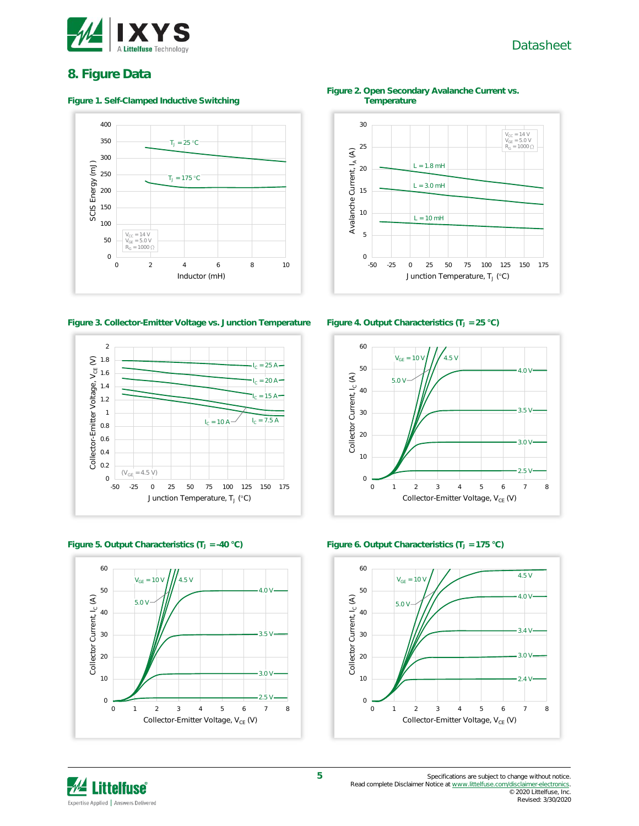

#### Datasheet

#### **8. Figure Data**

#### **Figure 1. Self-Clamped Inductive Switching**



**Figure 3. Collector-Emitter Voltage vs. Junction Temperature Figure 4. Output Characteristics (T<sup>J</sup> = 25 °C)**









**Figure 2. Open Secondary Avalanche Current vs. Temperature**







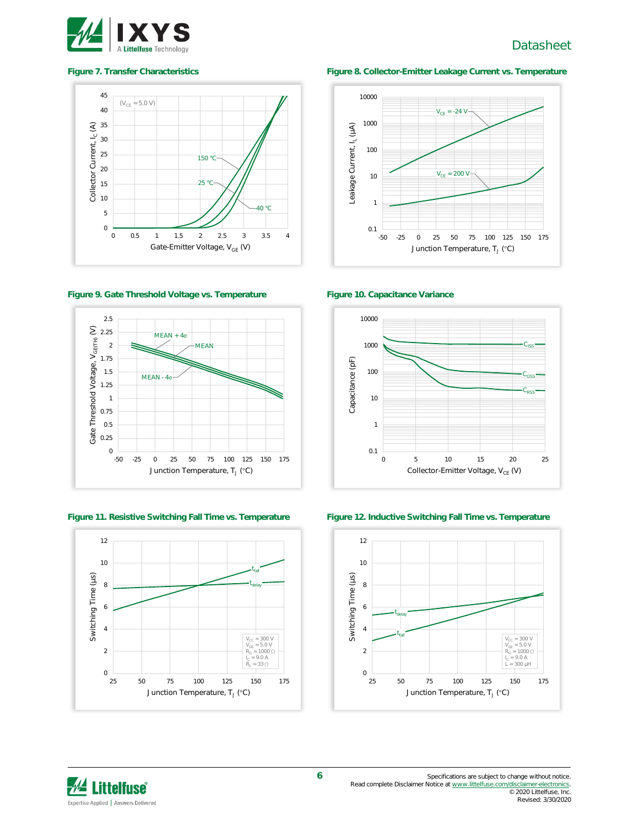

#### Datasheet







**Figure 11. Resistive Switching Fall Time vs. Temperature Figure 12. Inductive Switching Fall Time vs. Temperature**



#### **Figure 7. Transfer Characteristics Figure 8. Collector-Emitter Leakage Current vs. Temperature**







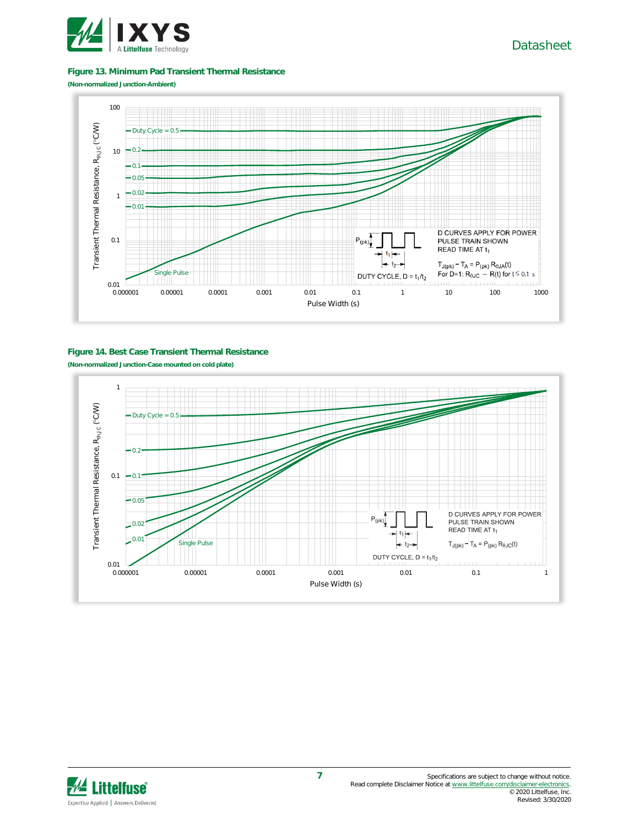

#### **Figure 13. Minimum Pad Transient Thermal Resistance**

**(Non-normalized Junction-Ambient)**



#### **Figure 14. Best Case Transient Thermal Resistance**

**(Non-normalized Junction-Case mounted on cold plate)**